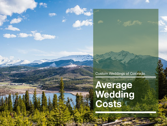Custom Weddings of Colorado

## **Average Wedding Costs**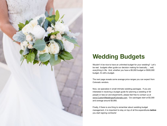

## **Wedding Budgets**

Wouldn't it be nice to have an unlimited budget for your wedding? Let's be real: budgets often guide our decision making for basically…. well, everything in life. And, whether you have a \$5,000 budget or \$500,000 budget, it's still a budget.

The next page reveals some average price ranges you can expect from Colorado vendors.

Now, we specialize in small intimate wedding packages. If you are interested in receiving a budget guide for planning a wedding of 30 people or less (or and elopement!), please feel free to contact us at [www.CustomWeddingsofColorado.com](http://www.CustomWeddingsofColorado.com). Our packages start at \$3,300 and average around \$3,900.

Finally, if there is one thing to remember about wedding budget management, it is important to stay on top of all the expenditures *before* you start signing contracts!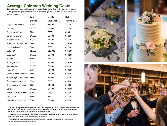## **Average Colorado Wedding Costs**

Estimates based on a wedding party with up to 10 attendants (5 on each side) and 100 guests. Actual prices vary greatly dependent on (1) number of guests, (2) extensiveness of service, and (3) quality of goods.

|                                   | Low         | Middle      | High        |
|-----------------------------------|-------------|-------------|-------------|
|                                   | Starting at | Starting at | Starting at |
| Day-of coordinators               | \$750       | \$1,200     | \$2,000     |
| Planners                          | \$2,500     | \$6,000     | 12,000      |
| Ceremony officiant                | \$300       | \$600       | \$900       |
| Ceremony site only                | \$1,000     | \$3,000     | \$6,000     |
| Reception site                    | \$1,200     | \$3,500     | \$8,000     |
| Gown, tux, accessories**          | \$800       | \$3,000     | \$10,000    |
| Hair + Makeup **                  | \$300       | \$900       | \$2,000     |
| Catering*                         | \$2,500     | \$15,000    | \$35,000    |
| Beverage*                         | \$1,000     | \$3,500     | \$12,000    |
| <b>Bakers</b>                     | \$400       | \$600       | \$1,000     |
| Photographers                     | \$1,800     | \$4,000     | \$10,000    |
| Videographers                     | \$1,600     | \$3,500     | \$8,000     |
| Florists**                        | \$750       | \$4,000     | \$10,000    |
| Linens & chair covers**           | \$500       | \$1,800     | \$3,500     |
| Rentals, lighting & decor** \$500 |             | \$2,000     | \$5,000     |
| Ceremony musicians                | \$350       | \$750       | \$1,200     |
| Disc jockeys, emcees              | \$650       | \$1,000     | \$1,800     |
| <b>Bands</b>                      | \$1,800     | \$4,500     | \$10,000    |
| Invitations & stationary          | \$400       | \$750       | \$1,500     |
| Limousine                         | \$400       | \$800       | \$1,200     |
| Miscellaneous options ***         | \$500       | \$3,000     | \$9,000     |

\* Additional catering costs can include taxes, service fees, or gratuity (up to 22%) and other miscellaneous fees such as labor, chef-attended stations, cake cutting, bar-tending, setup fees, corkage, resort fees and more. We suggest estimating 35% for additional fee, rentals, and labor.

\* \* **Additional cost** can include per-person fees, delivery, setup, tear-down, pickup, alterations, and cleaning. Costs vary greatly dependent or specifications and quantity.

\* \*\* **Miscellaneous options** can include ice sculptures, dove releases, honeymoon night reservations, attendant/guest accommodations and more.

![](_page_2_Picture_6.jpeg)

![](_page_2_Picture_7.jpeg)